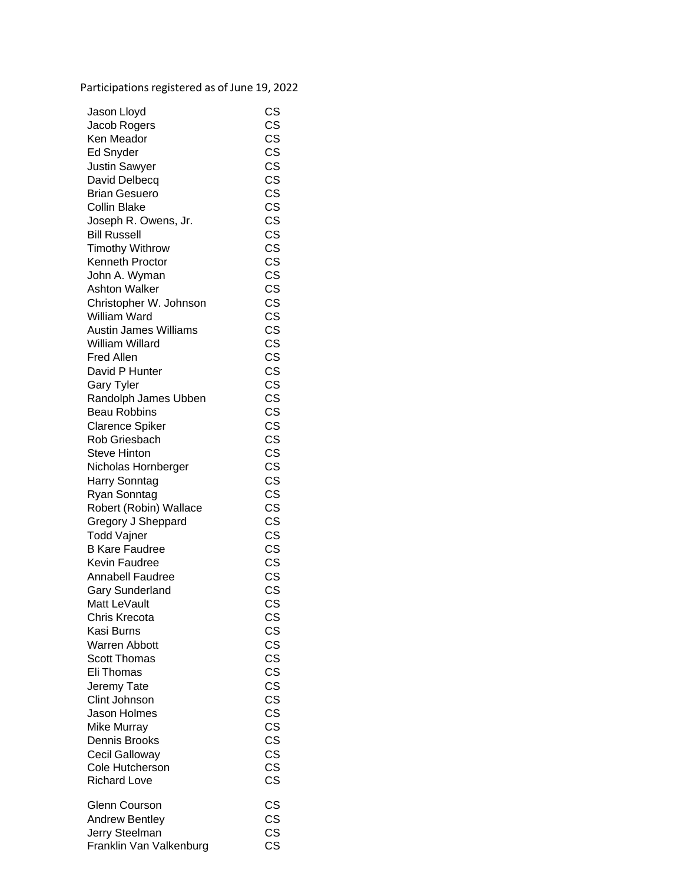Participations registered as of June 19, 2022

| Jason Lloyd                  | СS |
|------------------------------|----|
| Jacob Rogers                 | CS |
| Ken Meador                   | CS |
| Ed Snyder                    | CS |
| <b>Justin Sawyer</b>         | CS |
| David Delbecq                | CS |
| <b>Brian Gesuero</b>         | CS |
| <b>Collin Blake</b>          | CS |
| Joseph R. Owens, Jr.         | CS |
| <b>Bill Russell</b>          |    |
|                              | CS |
| <b>Timothy Withrow</b>       | CS |
| Kenneth Proctor              | CS |
| John A. Wyman                | CS |
| <b>Ashton Walker</b>         | CS |
| Christopher W. Johnson       | CS |
| William Ward                 | CS |
| <b>Austin James Williams</b> | CS |
| William Willard              | CS |
| <b>Fred Allen</b>            | CS |
| David P Hunter               | CS |
| <b>Gary Tyler</b>            | CS |
| Randolph James Ubben         | CS |
| <b>Beau Robbins</b>          | CS |
| <b>Clarence Spiker</b>       | CS |
|                              |    |
| Rob Griesbach                | CS |
| <b>Steve Hinton</b>          | CS |
| Nicholas Hornberger          | CS |
| Harry Sonntag                | CS |
| Ryan Sonntag                 | CS |
| Robert (Robin) Wallace       | CS |
| Gregory J Sheppard           | CS |
| <b>Todd Vajner</b>           | CS |
| <b>B Kare Faudree</b>        | CS |
| <b>Kevin Faudree</b>         | CS |
| Annabell Faudree             | CS |
| <b>Gary Sunderland</b>       | CS |
| Matt LeVault                 | CS |
| Chris Krecota                | СS |
| Kasi Burns                   | CS |
|                              |    |
| Warren Abbott                | CS |
| <b>Scott Thomas</b>          | CS |
| Eli Thomas                   | CS |
| Jeremy Tate                  | CS |
| Clint Johnson                | CS |
| Jason Holmes                 | CS |
| Mike Murray                  | CS |
| Dennis Brooks                | CS |
| Cecil Galloway               | CS |
| Cole Hutcherson              | CS |
| <b>Richard Love</b>          | CS |
|                              |    |
| Glenn Courson                | CS |
| <b>Andrew Bentley</b>        | CS |
| Jerry Steelman               | CS |
| Franklin Van Valkenburg      | CS |
|                              |    |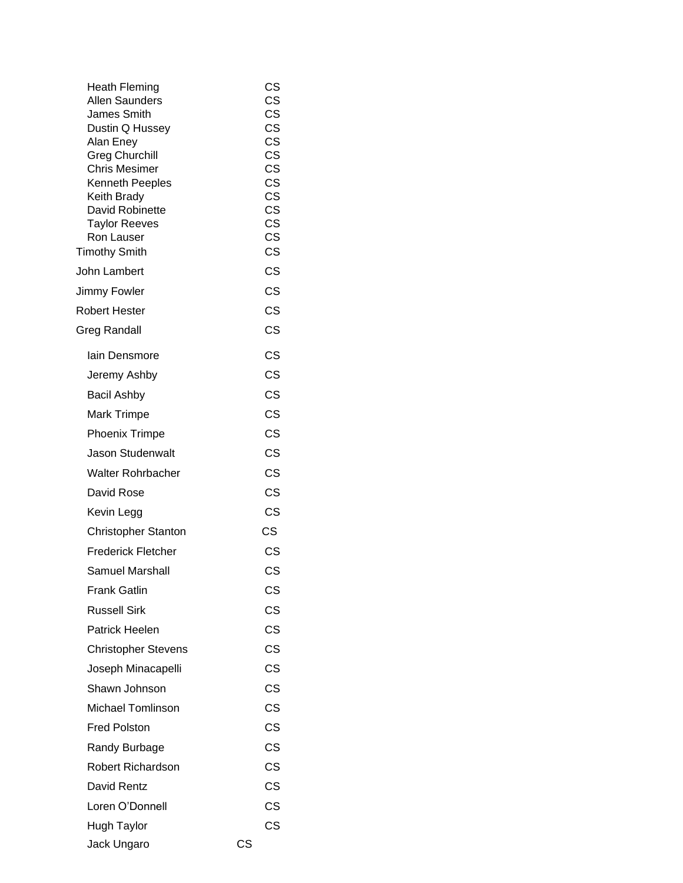| <b>Heath Fleming</b><br><b>Allen Saunders</b><br>James Smith<br>Dustin Q Hussey<br>Alan Eney<br><b>Greg Churchill</b><br><b>Chris Mesimer</b><br>Kenneth Peeples<br>Keith Brady<br>David Robinette<br><b>Taylor Reeves</b><br>Ron Lauser<br><b>Timothy Smith</b> | СS<br><b>CS</b><br>CS<br>CS<br>CS<br>CS<br><b>CS</b><br>CS<br>CS<br>CS<br>CS<br><b>CS</b><br><b>CS</b> |
|------------------------------------------------------------------------------------------------------------------------------------------------------------------------------------------------------------------------------------------------------------------|--------------------------------------------------------------------------------------------------------|
| John Lambert                                                                                                                                                                                                                                                     | <b>CS</b>                                                                                              |
| Jimmy Fowler                                                                                                                                                                                                                                                     | <b>CS</b>                                                                                              |
| Robert Hester                                                                                                                                                                                                                                                    | <b>CS</b>                                                                                              |
| Greg Randall                                                                                                                                                                                                                                                     | <b>CS</b>                                                                                              |
| lain Densmore                                                                                                                                                                                                                                                    | <b>CS</b>                                                                                              |
| Jeremy Ashby                                                                                                                                                                                                                                                     | <b>CS</b>                                                                                              |
| <b>Bacil Ashby</b>                                                                                                                                                                                                                                               | <b>CS</b>                                                                                              |
| <b>Mark Trimpe</b>                                                                                                                                                                                                                                               | <b>CS</b>                                                                                              |
| <b>Phoenix Trimpe</b>                                                                                                                                                                                                                                            | <b>CS</b>                                                                                              |
| Jason Studenwalt                                                                                                                                                                                                                                                 | <b>CS</b>                                                                                              |
| <b>Walter Rohrbacher</b>                                                                                                                                                                                                                                         | <b>CS</b>                                                                                              |
| David Rose                                                                                                                                                                                                                                                       | <b>CS</b>                                                                                              |
| Kevin Legg                                                                                                                                                                                                                                                       | <b>CS</b>                                                                                              |
| Christopher Stanton                                                                                                                                                                                                                                              | CS                                                                                                     |
| <b>Frederick Fletcher</b>                                                                                                                                                                                                                                        | <b>CS</b>                                                                                              |
| Samuel Marshall                                                                                                                                                                                                                                                  | CS                                                                                                     |
| <b>Frank Gatlin</b>                                                                                                                                                                                                                                              | CS                                                                                                     |
| <b>Russell Sirk</b>                                                                                                                                                                                                                                              | CS                                                                                                     |
| Patrick Heelen                                                                                                                                                                                                                                                   | CS                                                                                                     |
| <b>Christopher Stevens</b>                                                                                                                                                                                                                                       | <b>CS</b>                                                                                              |
| Joseph Minacapelli                                                                                                                                                                                                                                               | CS                                                                                                     |
| Shawn Johnson                                                                                                                                                                                                                                                    | CS                                                                                                     |
| <b>Michael Tomlinson</b>                                                                                                                                                                                                                                         | CS                                                                                                     |
| <b>Fred Polston</b>                                                                                                                                                                                                                                              | CS                                                                                                     |
| Randy Burbage                                                                                                                                                                                                                                                    | CS                                                                                                     |
| <b>Robert Richardson</b>                                                                                                                                                                                                                                         | <b>CS</b>                                                                                              |
| David Rentz                                                                                                                                                                                                                                                      | CS                                                                                                     |
| Loren O'Donnell                                                                                                                                                                                                                                                  | CS                                                                                                     |
| <b>Hugh Taylor</b>                                                                                                                                                                                                                                               | CS                                                                                                     |
| Jack Ungaro                                                                                                                                                                                                                                                      | СS                                                                                                     |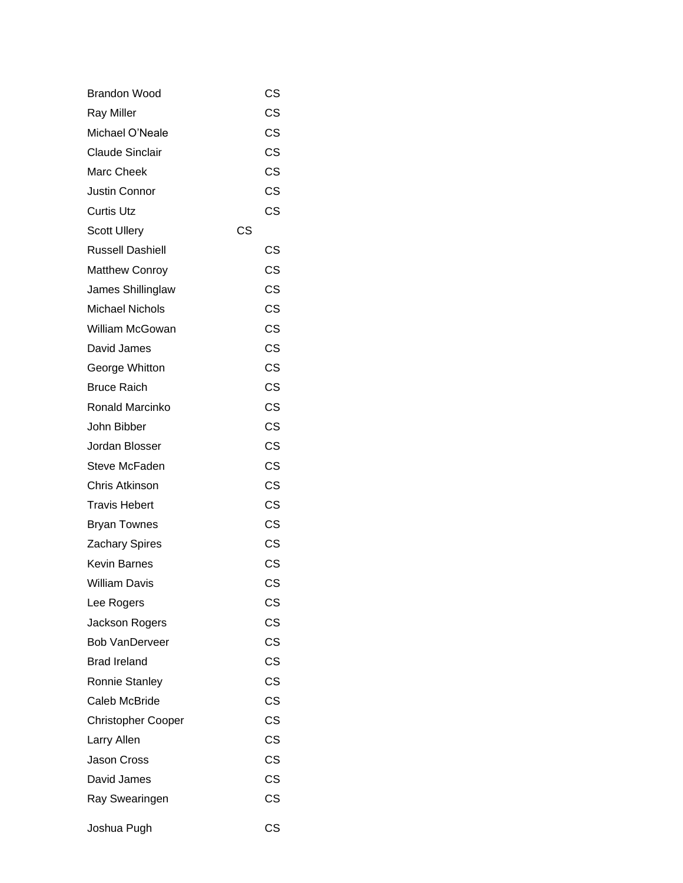| <b>Brandon Wood</b>       | CS        |
|---------------------------|-----------|
| <b>Ray Miller</b>         | <b>CS</b> |
| Michael O'Neale           | CS        |
| <b>Claude Sinclair</b>    | <b>CS</b> |
| Marc Cheek                | CS        |
| Justin Connor             | CS        |
| <b>Curtis Utz</b>         | CS        |
| <b>Scott Ullery</b>       | CS        |
| <b>Russell Dashiell</b>   | CS        |
| <b>Matthew Conroy</b>     | <b>CS</b> |
| James Shillinglaw         | <b>CS</b> |
| <b>Michael Nichols</b>    | CS        |
| William McGowan           | <b>CS</b> |
| David James               | CS        |
| George Whitton            | <b>CS</b> |
| <b>Bruce Raich</b>        | CS        |
| Ronald Marcinko           | <b>CS</b> |
| John Bibber               | CS        |
| Jordan Blosser            | CS        |
| Steve McFaden             | <b>CS</b> |
| Chris Atkinson            | <b>CS</b> |
| <b>Travis Hebert</b>      | <b>CS</b> |
| <b>Bryan Townes</b>       | <b>CS</b> |
| <b>Zachary Spires</b>     | <b>CS</b> |
| <b>Kevin Barnes</b>       | CS        |
| William Davis             | СS        |
| Lee Rogers                | СS        |
| Jackson Rogers            | CS        |
| <b>Bob VanDerveer</b>     | <b>CS</b> |
| <b>Brad Ireland</b>       | CS        |
| <b>Ronnie Stanley</b>     | <b>CS</b> |
| Caleb McBride             | CS        |
| <b>Christopher Cooper</b> | <b>CS</b> |
| Larry Allen               | CS        |
| Jason Cross               | <b>CS</b> |
| David James               | CS        |
| Ray Swearingen            | CS        |
| Joshua Pugh               | CS        |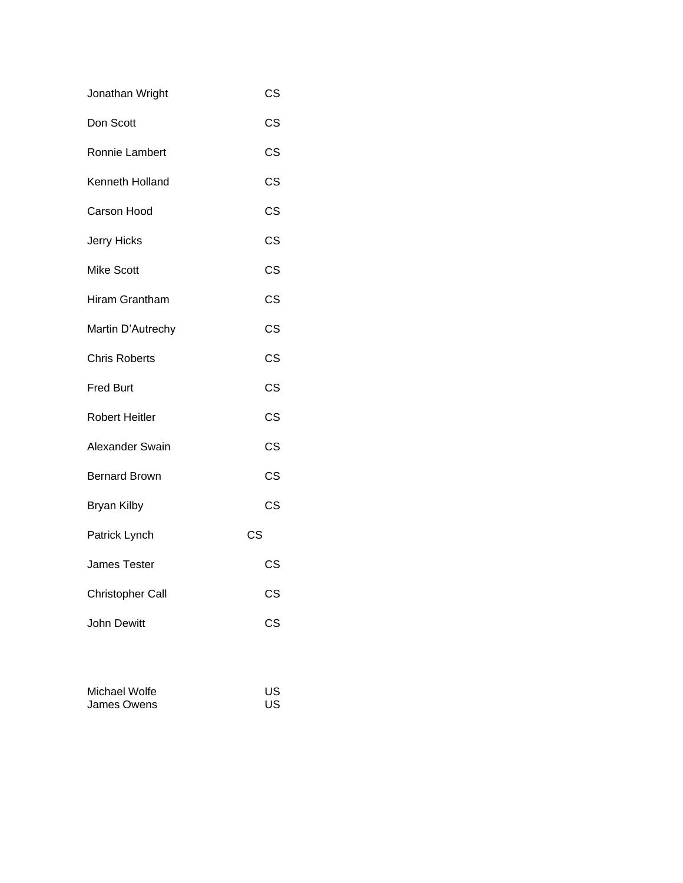- Jonathan Wright CS
- Don Scott CS
- Ronnie Lambert CS
- Kenneth Holland CS
- Carson Hood CS
- Jerry Hicks CS
- Mike Scott CS
- Hiram Grantham CS
- Martin D'Autrechy CS
- Chris Roberts **CS**
- Fred Burt CS
- Robert Heitler **CS**
- Alexander Swain CS
- Bernard Brown CS
- Bryan Kilby **CS**
- Patrick Lynch CS
- James Tester **CS**
- Christopher Call CS
- John Dewitt CS

| Michael Wolfe | US |
|---------------|----|
| James Owens   | US |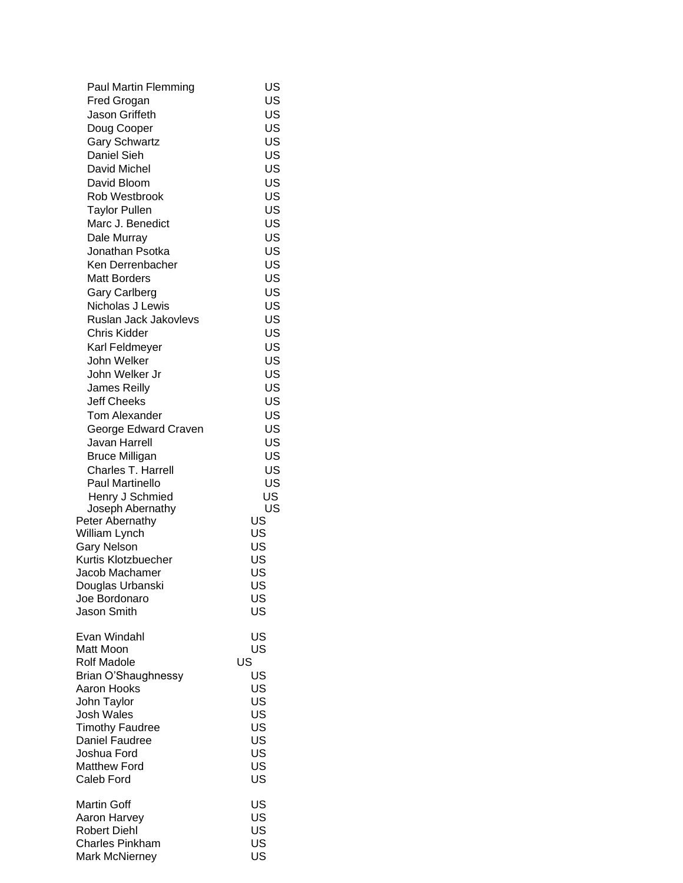| <b>Paul Martin Flemming</b> | US |
|-----------------------------|----|
| <b>Fred Grogan</b>          | US |
| Jason Griffeth              | US |
| Doug Cooper                 | US |
| <b>Gary Schwartz</b>        | US |
| Daniel Sieh                 | US |
| David Michel                | US |
| David Bloom                 | US |
| Rob Westbrook               | US |
| <b>Taylor Pullen</b>        | US |
| Marc J. Benedict            | US |
| Dale Murray                 | US |
| Jonathan Psotka             | US |
| Ken Derrenbacher            | US |
| <b>Matt Borders</b>         | US |
| <b>Gary Carlberg</b>        | US |
| Nicholas J Lewis            | US |
| Ruslan Jack Jakovlevs       | US |
| <b>Chris Kidder</b>         | US |
| Karl Feldmeyer              | US |
| John Welker                 | US |
| John Welker Jr              | US |
| <b>James Reilly</b>         | US |
| <b>Jeff Cheeks</b>          | US |
| Tom Alexander               | US |
| George Edward Craven        | US |
| Javan Harrell               | US |
| <b>Bruce Milligan</b>       | US |
| <b>Charles T. Harrell</b>   | US |
| Paul Martinello             | US |
| Henry J Schmied             | US |
| Joseph Abernathy            | US |
| Peter Abernathy             | US |
| William Lynch               | US |
| <b>Gary Nelson</b>          | US |
| Kurtis Klotzbuecher         | US |
| Jacob Machamer              | US |
| Douglas Urbanski            | US |
| Joe Bordonaro               | US |
| <b>Jason Smith</b>          | US |
| Evan Windahl                | US |
| Matt Moon                   | US |
| <b>Rolf Madole</b>          | US |
| Brian O'Shaughnessy         | US |
| Aaron Hooks                 | US |
| John Taylor                 | US |
| Josh Wales                  | US |
| <b>Timothy Faudree</b>      | US |
| <b>Daniel Faudree</b>       | US |
| Joshua Ford                 | US |
| <b>Matthew Ford</b>         | US |
| Caleb Ford                  | US |
| Martin Goff                 | US |
| Aaron Harvey                | US |
| <b>Robert Diehl</b>         | US |
| <b>Charles Pinkham</b>      | US |
| <b>Mark McNierney</b>       | US |